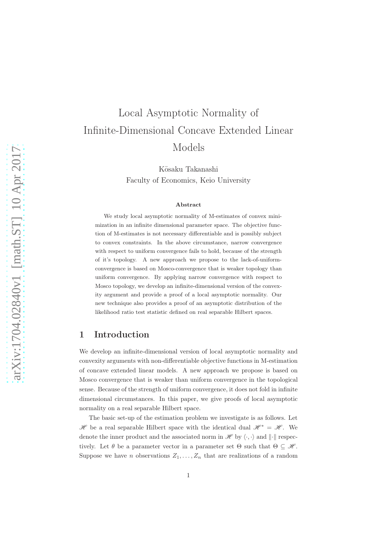# Local Asymptotic Normality of Infinite-Dimensional Concave Extended Linear Models

K¯osaku Takanashi Faculty of Economics, Keio University

#### Abstract

We study local asymptotic normality of M-estimates of convex minimization in an infinite dimensional parameter space. The objective function of M-estimates is not necessary differentiable and is possibly subject to convex constraints. In the above circumstance, narrow convergence with respect to uniform convergence fails to hold, because of the strength of it's topology. A new approach we propose to the lack-of-uniformconvergence is based on Mosco-convergence that is weaker topology than uniform convergence. By applying narrow convergence with respect to Mosco topology, we develop an infinite-dimensional version of the convexity argument and provide a proof of a local asymptotic normality. Our new technique also provides a proof of an asymptotic distribution of the likelihood ratio test statistic defined on real separable Hilbert spaces.

## 1 Introduction

We develop an infinite-dimensional version of local asymptotic normality and convexity arguments with non-differentiable objective functions in M-estimation of concave extended linear models. A new approach we propose is based on Mosco convergence that is weaker than uniform convergence in the topological sense. Because of the strength of uniform convergence, it does not fold in infinite dimensional circumstances. In this paper, we give proofs of local asymptotic normality on a real separable Hilbert space.

The basic set-up of the estimation problem we investigate is as follows. Let  $\mathscr H$  be a real separable Hilbert space with the identical dual  $\mathscr H^* = \mathscr H$ . We denote the inner product and the associated norm in  $\mathscr{H}$  by  $\langle \cdot, \cdot \rangle$  and  $\|\cdot\|$  respectively. Let  $\theta$  be a parameter vector in a parameter set  $\Theta$  such that  $\Theta \subseteq \mathcal{H}$ . Suppose we have *n* observations  $Z_1, \ldots, Z_n$  that are realizations of a random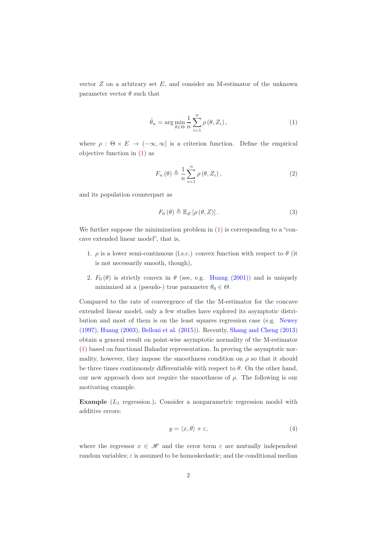vector  $Z$  on a arbitrary set  $E$ , and consider an M-estimator of the unknown parameter vector  $\theta$  such that

<span id="page-1-0"></span>
$$
\hat{\theta}_n = \arg\min_{\theta \in \Theta} \frac{1}{n} \sum_{i=1}^n \rho(\theta, Z_i), \qquad (1)
$$

where  $\rho : \Theta \times E \to (-\infty, \infty]$  is a criterion function. Define the empirical objective function in [\(1\)](#page-1-0) as

$$
F_n(\theta) \triangleq \frac{1}{n} \sum_{i=1}^n \rho(\theta, Z_i), \qquad (2)
$$

and its population counterpart as

$$
F_0(\theta) \triangleq \mathbb{E}_Z \left[ \rho(\theta, Z) \right]. \tag{3}
$$

We further suppose the minimization problem in  $(1)$  is corresponding to a "concave extended linear model", that is,

- 1.  $\rho$  is a lower semi-continuous (l.s.c.) convex function with respect to  $\theta$  (it is not necessarily smooth, though),
- 2.  $F_0(\theta)$  is strictly convex in  $\theta$  (see, e.g. [Huang](#page-24-0) [\(2001](#page-24-0))) and is uniquely minimized at a (pseudo-) true parameter  $\theta_0 \in \Theta$ .

Compared to the rate of convergence of the the M-estimator for the concave extended linear model, only a few studies have explored its asymptotic distribution and most of them is on the least squares regression case (e.g. [Newey](#page-25-0) [\(1997\)](#page-25-0), [Huang](#page-24-1) [\(2003\)](#page-24-1), [Belloni et al.](#page-24-2) [\(2015\)](#page-24-2)). Recently, [Shang and Cheng](#page-25-1) [\(2013\)](#page-25-1) obtain a general result on point-wise asymptotic normality of the M-estimator [\(1\)](#page-1-0) based on functional Bahadur representation. In proving the asymptotic normality, however, they impose the smoothness condition on  $\rho$  so that it should be three times continuously differentiable with respect to  $\theta$ . On the other hand, our new approach does not require the smoothness of  $\rho$ . The following is our motivating example.

**Example**  $(L_1 \text{ regression.})$ . Consider a nonparametric regression model with additive errors:

<span id="page-1-1"></span>
$$
y = \langle x, \theta \rangle + \varepsilon,\tag{4}
$$

where the regressor  $x \in \mathcal{H}$  and the error term  $\varepsilon$  are mutually independent random variables;  $\varepsilon$  is assumed to be homoskedastic; and the conditional median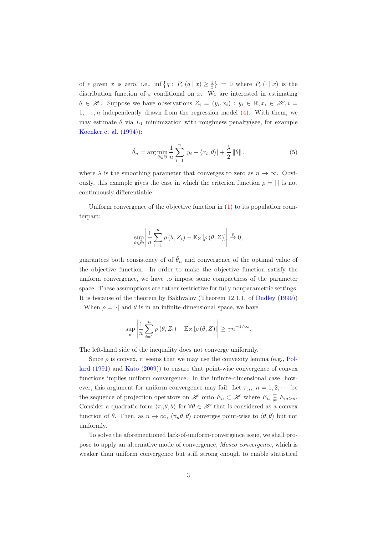of  $\epsilon$  given x is zero, i.e., inf  $\{q: P_{\epsilon}(q | x) \geq \frac{1}{2}\}=0$  where  $P_{\epsilon}(\cdot | x)$  is the distribution function of  $\varepsilon$  conditional on x. We are interested in estimating  $\theta \in \mathscr{H}$ . Suppose we have observations  $Z_i = (y_i, x_i) : y_i \in \mathbb{R}, x_i \in \mathscr{H}, i =$  $1, \ldots, n$  independently drawn from the regression model [\(4\)](#page-1-1). With them, we may estimate  $\theta$  via  $L_1$  minimization with roughness penalty(see, for example [Koenker et al.](#page-25-2) [\(1994\)](#page-25-2)):

$$
\hat{\theta}_n = \arg\min_{\theta \in \Theta} \frac{1}{n} \sum_{i=1}^n |y_i - \langle x_i, \theta \rangle| + \frac{\lambda}{2} ||\theta||,
$$
\n(5)

where  $\lambda$  is the smoothing parameter that converges to zero as  $n \to \infty$ . Obviously, this example gives the case in which the criterion function  $\rho = |\cdot|$  is not continuously differentiable.

Uniform convergence of the objective function in  $(1)$  to its population counterpart:

$$
\sup_{\theta \in \Theta} \left| \frac{1}{n} \sum_{i=1}^{n} \rho(\theta, Z_i) - \mathbb{E}_Z \left[ \rho(\theta, Z) \right] \right| \stackrel{p}{\to} 0,
$$

guarantees both consistency of of  $\hat{\theta}_n$  and convergence of the optimal value of the objective function. In order to make the objective function satisfy the uniform convergence, we have to impose some compactness of the parameter space. These assumptions are rather restrictive for fully nonparametric settings. It is because of the theorem by Bakhvalov (Theorem 12.1.1. of [Dudley](#page-24-3) [\(1999\)](#page-24-3)) . When  $\rho = |\cdot|$  and  $\theta$  is in an infinite-dimensional space, we have

$$
\sup_{\theta} \left| \frac{1}{n} \sum_{i=1}^{n} \rho(\theta, Z_i) - \mathbb{E}_Z \left[ \rho(\theta, Z) \right] \right| \geq \gamma n^{-1/\infty}.
$$

The left-hand side of the inequality does not converge uniformly.

Since  $\rho$  is convex, it seems that we may use the convexity lemma (e.g., Pollard [\(1991\)](#page-25-3) and [Kato](#page-25-4) [\(2009](#page-25-4))) to ensure that point-wise convergence of convex functions implies uniform convergence. In the infinite-dimensional case, however, this argument for uniform convergence may fail. Let  $\pi_n$ ,  $n = 1, 2, \cdots$  be the sequence of projection operators on H onto  $E_n \subset \mathcal{H}$  where  $E_n \subsetneq E_{m>n}$ . Consider a quadratic form  $\langle \pi_n \theta, \theta \rangle$  for  $\forall \theta \in \mathcal{H}$  that is considered as a convex function of  $\theta$ . Then, as  $n \to \infty$ ,  $\langle \pi_n \theta, \theta \rangle$  converges point-wise to  $\langle \theta, \theta \rangle$  but not uniformly.

To solve the aforementioned lack-of-uniform-convergence issue, we shall propose to apply an alternative mode of convergence, Mosco convergence, which is weaker than uniform convergence but still strong enough to enable statistical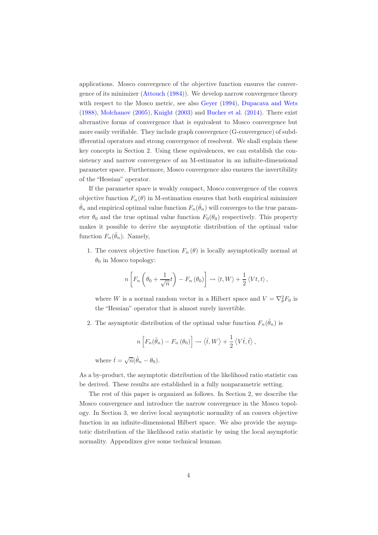applications. Mosco convergence of the objective function ensures the convergence of its minimizer [\(Attouch](#page-24-4) [\(1984\)](#page-24-4)). We develop narrow convergence theory with respect to the Mosco metric, see also Gever [\(1994\)](#page-24-5), [Dupacava and Wets](#page-24-6) [\(1988\)](#page-24-6), [Molchanov](#page-25-5) [\(2005\)](#page-25-5), [Knight](#page-25-6) [\(2003\)](#page-25-6) and [Bucher et al.](#page-24-7) [\(2014\)](#page-24-7). There exist alternative forms of convergence that is equivalent to Mosco convergence but more easily verifiable. They include graph convergence (G-convergence) of subdifferential operators and strong convergence of resolvent. We shall explain these key concepts in Section 2. Using these equivalences, we can establish the consistency and narrow convergence of an M-estimator in an infinite-dimensional parameter space. Furthermore, Mosco convergence also ensures the invertibility of the "Hessian" operator.

If the parameter space is weakly compact, Mosco convergence of the convex objective function  $F_n(\theta)$  in M-estimation ensures that both empirical minimizer  $\hat{\theta}_n$  and empirical optimal value function  $F_n(\hat{\theta}_n)$  will converges to the true parameter  $\theta_0$  and the true optimal value function  $F_0(\theta_0)$  respectively. This property makes it possible to derive the asymptotic distribution of the optimal value function  $F_n(\hat{\theta}_n)$ . Namely,

1. The convex objective function  $F_n(\theta)$  is locally asymptotically normal at  $\theta_0$  in Mosco topology:

$$
n\left[F_n\left(\theta_0+\frac{1}{\sqrt{n}}t\right)-F_n\left(\theta_0\right)\right]\rightsquigarrow \langle t,W\rangle+\frac{1}{2}\langle Vt,t\rangle,
$$

where W is a normal random vector in a Hilbert space and  $V = \nabla_{\theta}^2 F_0$  is the "Hessian" operator that is almost surely invertible.

2. The asymptotic distribution of the optimal value function  $F_n(\hat{\theta}_n)$  is

$$
n\left[F_n(\hat{\theta}_n) - F_n(\theta_0)\right] \rightsquigarrow \langle \hat{t}, W \rangle + \frac{1}{2} \langle V \hat{t}, \hat{t} \rangle,
$$

where  $\hat{t} = \sqrt{n}(\hat{\theta}_n - \theta_0)$ .

As a by-product, the asymptotic distribution of the likelihood ratio statistic can be derived. These results are established in a fully nonparametric setting.

The rest of this paper is organized as follows. In Section 2, we describe the Mosco convergence and introduce the narrow convergence in the Mosco topology. In Section 3, we derive local asymptotic normality of an convex objective function in an infinite-dimensional Hilbert space. We also provide the asymptotic distribution of the likelihood ratio statistic by using the local asymptotic normality. Appendixes give some technical lemmas.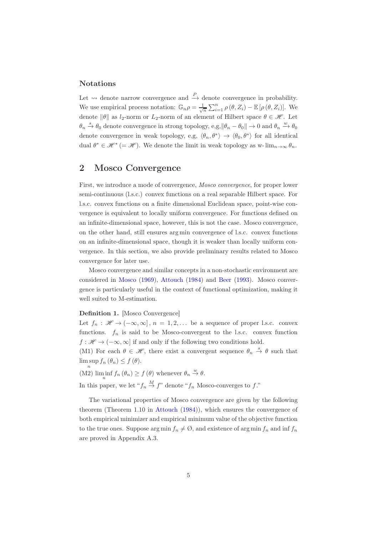#### Notations

Let  $\rightsquigarrow$  denote narrow convergence and  $\stackrel{P}{\rightarrow}$  denote convergence in probability. We use empirical process notation:  $\mathbb{G}_n \rho = \frac{1}{\sqrt{n}} \sum_{i=1}^n \rho(\theta, Z_i) - \mathbb{E}[\rho(\theta, Z_i)]$ . We denote  $\|\theta\|$  as  $l_2$ -norm or  $L_2$ -norm of an element of Hilbert space  $\theta \in \mathcal{H}$ . Let  $\theta_n \stackrel{s}{\to} \theta_0$  denote convergence in strong topology, e,g,  $\|\theta_n - \theta_0\| \to 0$  and  $\theta_n \stackrel{w}{\to} \theta_0$ denote convergence in weak topology, e,g,  $\langle \theta_n, \theta^* \rangle \to \langle \theta_0, \theta^* \rangle$  for all identical dual  $\theta^* \in \mathcal{H}^* (= \mathcal{H})$ . We denote the limit in weak topology as w-lim<sub>n→∞</sub>  $\theta_n$ .

# 2 Mosco Convergence

First, we introduce a mode of convergence, Mosco convergence, for proper lower semi-continuous (l.s.c.) convex functions on a real separable Hilbert space. For l.s.c. convex functions on a finite dimensional Euclidean space, point-wise convergence is equivalent to locally uniform convergence. For functions defined on an infinite-dimensional space, however, this is not the case. Mosco convergence, on the other hand, still ensures arg min convergence of l.s.c. convex functions on an infinite-dimensional space, though it is weaker than locally uniform convergence. In this section, we also provide preliminary results related to Mosco convergence for later use.

Mosco convergence and similar concepts in a non-stochastic environment are considered in [Mosco](#page-25-7) [\(1969](#page-25-7)), [Attouch](#page-24-4) [\(1984](#page-24-4)) and [Beer](#page-24-8) [\(1993](#page-24-8)). Mosco convergence is particularly useful in the context of functional optimization, making it well suited to M-estimation.

#### Definition 1. [Mosco Convergence]

Let  $f_n : \mathcal{H} \to (-\infty, \infty], n = 1, 2, \dots$  be a sequence of proper l.s.c. convex functions.  $f_n$  is said to be Mosco-convergent to the l.s.c. convex function  $f : \mathscr{H} \to (-\infty, \infty]$  if and only if the following two conditions hold.

(M1) For each  $\theta \in \mathcal{H}$ , there exist a convergent sequence  $\theta_n \stackrel{s}{\rightarrow} \theta$  such that  $\limsup f_n(\theta_n) \leq f(\theta).$ n

(M2)  $\liminf_{n} f_n(\theta_n) \geq f(\theta)$  whenever  $\theta_n \stackrel{w}{\to} \theta$ . In this paper, we let " $f_n \stackrel{M}{\rightarrow} f$ " denote " $f_n$  Mosco-converges to f."

The variational properties of Mosco convergence are given by the following theorem (Theorem 1.10 in [Attouch](#page-24-4) [\(1984\)](#page-24-4)), which ensures the convergence of both empirical minimizer and empirical minimum value of the objective function to the true ones. Suppose arg min  $f_n \neq \emptyset$ , and existence of arg min  $f_n$  and inf  $f_n$ are proved in Appendix A.3.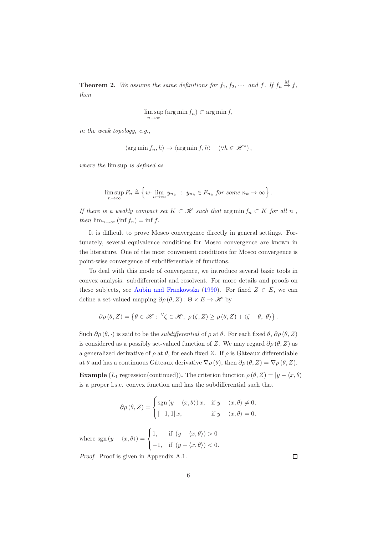<span id="page-5-0"></span>**Theorem 2.** We assume the same definitions for  $f_1, f_2, \cdots$  and  $f$ . If  $f_n \stackrel{M}{\rightarrow} f$ , then

$$
\limsup_{n \to \infty} (\arg \min f_n) \subset \arg \min f,
$$

in the weak topology, e.g.,

$$
\langle \arg\min f_n, h\rangle \to \langle \arg\min f, h\rangle \quad \left(\forall h\in \mathscr{H}^*\right),
$$

where the lim sup is defined as

$$
\limsup_{n \to \infty} F_n \triangleq \left\{ w \cdot \lim_{n \to \infty} y_{n_k} : y_{n_k} \in F_{n_k} \text{ for some } n_k \to \infty \right\}.
$$

If there is a weakly compact set  $K \subset \mathcal{H}$  such that  $\arg \min f_n \subset K$  for all n, then  $\lim_{n\to\infty}$  (inf  $f_n$ ) = inf f.

It is difficult to prove Mosco convergence directly in general settings. Fortunately, several equivalence conditions for Mosco convergence are known in the literature. One of the most convenient conditions for Mosco convergence is point-wise convergence of subdifferentials of functions.

To deal with this mode of convergence, we introduce several basic tools in convex analysis: subdifferential and resolvent. For more details and proofs on these subjects, see [Aubin and Frankowska](#page-24-9) [\(1990\)](#page-24-9). For fixed  $Z \in E$ , we can define a set-valued mapping  $\partial \rho(\theta, Z) : \Theta \times E \to \mathcal{H}$  by

$$
\partial \rho(\theta, Z) = \left\{ \theta \in \mathcal{H} : \ {}^{\forall} \zeta \in \mathcal{H}, \ \rho(\zeta, Z) \ge \rho(\theta, Z) + \langle \zeta - \theta, \ \theta \rangle \right\}.
$$

Such  $\partial \rho(\theta, \cdot)$  is said to be the *subdifferential* of  $\rho$  at  $\theta$ . For each fixed  $\theta$ ,  $\partial \rho(\theta, Z)$ is considered as a possibly set-valued function of Z. We may regard  $\partial \rho(\theta, Z)$  as a generalized derivative of  $\rho$  at  $\theta$ , for each fixed Z. If  $\rho$  is Gâteaux differentiable at  $\theta$  and has a continuous Gâteaux derivative  $\nabla \rho(\theta)$ , then  $\partial \rho(\theta, Z) = \nabla \rho(\theta, Z)$ .

**Example**  $(L_1 \text{ regression}(\text{continued}))$ . The criterion function  $\rho(\theta, Z) = |y - \langle x, \theta \rangle|$ is a proper l.s.c. convex function and has the subdifferential such that

$$
\partial \rho(\theta, Z) = \begin{cases} \text{sgn}(y - \langle x, \theta \rangle) x, & \text{if } y - \langle x, \theta \rangle \neq 0; \\ [-1, 1] x, & \text{if } y - \langle x, \theta \rangle = 0, \end{cases}
$$

where sgn  $(y - \langle x, \theta \rangle) =$  $\sqrt{ }$  $\left\langle \right\rangle$  $\mathcal{L}$ 1, if  $(y - \langle x, \theta \rangle) > 0$  $-1$ , if  $(y - \langle x, \theta \rangle) < 0$ .

Proof. Proof is given in Appendix A.1.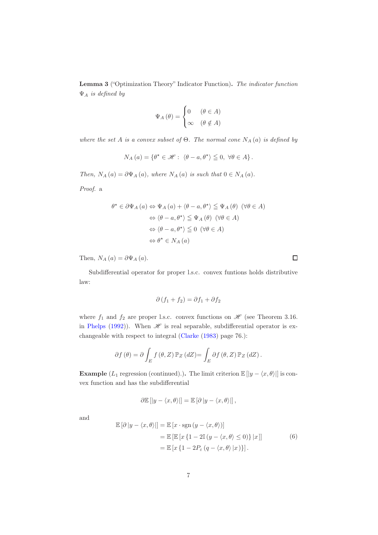<span id="page-6-1"></span>Lemma 3 ("Optimization Theory" Indicator Function). The indicator function  $\Psi_A$  is defined by

$$
\Psi_A(\theta) = \begin{cases} 0 & (\theta \in A) \\ \infty & (\theta \notin A) \end{cases}
$$

where the set A is a convex subset of  $\Theta$ . The normal cone  $N_A(a)$  is defined by

$$
N_A(a) = \{ \theta^{\star} \in \mathcal{H} : \langle \theta - a, \theta^{\star} \rangle \leq 0, \ \forall \theta \in A \}.
$$

Then,  $N_A(a) = \partial \Psi_A(a)$ , where  $N_A(a)$  is such that  $0 \in N_A(a)$ .

Proof. a

$$
\theta^* \in \partial \Psi_A (a) \Leftrightarrow \Psi_A (a) + \langle \theta - a, \theta^* \rangle \leq \Psi_A (\theta) \quad (\forall \theta \in A)
$$
  

$$
\Leftrightarrow \langle \theta - a, \theta^* \rangle \leq \Psi_A (\theta) \quad (\forall \theta \in A)
$$
  

$$
\Leftrightarrow \langle \theta - a, \theta^* \rangle \leq 0 \quad (\forall \theta \in A)
$$
  

$$
\Leftrightarrow \theta^* \in N_A (a)
$$

Then,  $N_A(a) = \partial \Psi_A(a)$ .

Subdifferential operator for proper l.s.c. convex funtions holds distributive law:

$$
\partial (f_1 + f_2) = \partial f_1 + \partial f_2
$$

where  $f_1$  and  $f_2$  are proper l.s.c. convex functions on  $\mathscr H$  (see Theorem 3.16. in [Phelps](#page-25-8) [\(1992\)](#page-25-8)). When  $\mathscr H$  is real separable, subdifferential operator is exchangeable with respect to integral [\(Clarke](#page-24-10) [\(1983](#page-24-10)) page 76.):

$$
\partial f(\theta) = \partial \int_E f(\theta, Z) \mathbb{P}_Z(dZ) = \int_E \partial f(\theta, Z) \mathbb{P}_Z(dZ).
$$

**Example** (L<sub>1</sub> regression (continued).). The limit criterion  $\mathbb{E}[|y - \langle x, \theta \rangle|]$  is convex function and has the subdifferential

$$
\partial \mathbb{E} [ |y - \langle x, \theta \rangle | ] = \mathbb{E} [\partial |y - \langle x, \theta \rangle |],
$$

and

<span id="page-6-0"></span>
$$
\mathbb{E} [\partial |y - \langle x, \theta \rangle] = \mathbb{E} [x \cdot \text{sgn} (y - \langle x, \theta \rangle)]
$$
  
= 
$$
\mathbb{E} [\mathbb{E} [x \{1 - 2\mathbb{I} (y - \langle x, \theta \rangle \le 0)\} |x]]
$$
  
= 
$$
\mathbb{E} [x \{1 - 2P_{\varepsilon} (q - \langle x, \theta \rangle |x)\}].
$$
 (6)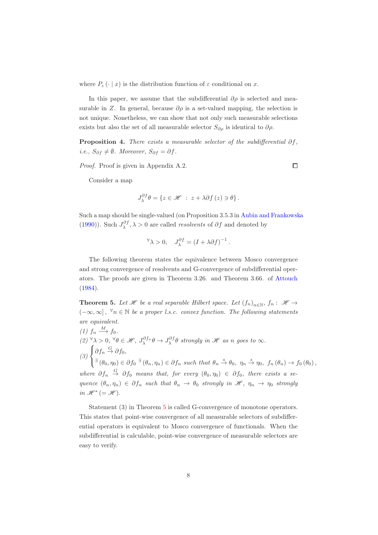where  $P_{\varepsilon}(\cdot | x)$  is the distribution function of  $\varepsilon$  conditional on x.

In this paper, we assume that the subdifferential  $\partial \rho$  is selected and measurable in Z. In general, because  $\partial \rho$  is a set-valued mapping, the selection is not unique. Nonetheless, we can show that not only such measurable selections exists but also the set of all measurable selector  $S_{\partial \rho}$  is identical to  $\partial \rho$ .

<span id="page-7-1"></span>**Proposition 4.** There exists a measurable selector of the subdifferential  $\partial f$ , i.e.,  $S_{\partial f} \neq \emptyset$ . Moreover,  $S_{\partial f} = \partial f$ .

Proof. Proof is given in Appendix A.2.

Consider a map

$$
J_{\lambda}^{\partial f} \theta = \left\{ z \in \mathcal{H} \ : \ z + \lambda \partial f(z) \ni \theta \right\}.
$$

Such a map should be single-valued (on Proposition 3.5.3 in [Aubin and Frankowska](#page-24-9) [\(1990\)](#page-24-9)). Such  $J_{\lambda}^{\partial f}$ ,  $\lambda > 0$  are called *resolvents* of  $\partial f$  and denoted by

$$
\forall \lambda > 0, \quad J_{\lambda}^{\partial f} = (I + \lambda \partial f)^{-1}.
$$

The following theorem states the equivalence between Mosco convergence and strong convergence of resolvents and G-convergence of subdifferential operators. The proofs are given in Theorem 3.26. and Theorem 3.66. of [Attouch](#page-24-4) [\(1984\)](#page-24-4).

<span id="page-7-0"></span>**Theorem 5.** Let  $\mathcal{H}$  be a real separable Hilbert space. Let  $(f_n)_{n \in \mathbb{N}}$ ,  $f_n: \mathcal{H} \to$  $(-\infty,\infty]$ ,  $\forall n \in \mathbb{N}$  be a proper l.s.c. convex function. The following statements are equivalent. (1)  $f_n \xrightarrow{M} f_0$ .  $(2) \,\forall \lambda > 0, \,\forall \theta \in \mathscr{H}, J_{\lambda}^{\partial f_n} \theta \rightarrow J_{\lambda}^{\partial f} \theta \text{ strongly in } \mathscr{H} \text{ as } n \text{ goes to } \infty.$ (3)  $\sqrt{ }$  $\left\langle \right\rangle$  $\mathcal{L}$  $\partial f_n \overset{G}{\rightarrow} \partial f_0,$  $\exists (\theta_0, \eta_0) \in \partial f_0 \exists (\theta_n, \eta_n) \in \partial f_n \text{ such that } \theta_n \stackrel{s}{\rightarrow} \theta_0, \eta_n \stackrel{s}{\rightarrow} \eta_0, f_n(\theta_n) \rightarrow f_0(\theta_0),$ where  $\partial f_n \stackrel{G}{\rightarrow} \partial f_0$  means that, for every  $(\theta_0, \eta_0) \in \partial f_0$ , there exists a sequence  $(\theta_n, \eta_n) \in \partial f_n$  such that  $\theta_n \to \theta_0$  strongly in  $\mathscr{H}$ ,  $\eta_n \to \eta_0$  strongly in  $\mathscr{H}^*$  (=  $\mathscr{H}$ ).

Statement (3) in Theorem [5](#page-7-0) is called G-convergence of monotone operators. This states that point-wise convergence of all measurable selectors of subdifferential operators is equivalent to Mosco convergence of functionals. When the subdifferential is calculable, point-wise convergence of measurable selectors are easy to verify.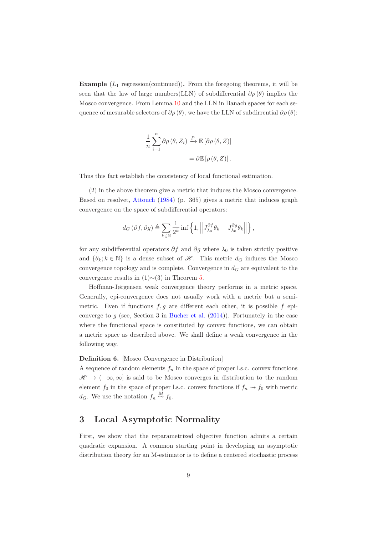**Example**  $(L_1 \text{ regression}(\text{continued}))$ . From the foregoing theorems, it will be seen that the law of large numbers(LLN) of subdifferential  $\partial \rho(\theta)$  implies the Mosco convergence. From Lemma [10](#page-15-0) and the LLN in Banach spaces for each sequence of mesurable selectors of  $\partial \rho(\theta)$ , we have the LLN of subdirrential  $\partial \rho(\theta)$ :

$$
\frac{1}{n} \sum_{i=1}^{n} \partial \rho (\theta, Z_i) \xrightarrow{P} \mathbb{E} [\partial \rho (\theta, Z)]
$$

$$
= \partial \mathbb{E} [\rho (\theta, Z)].
$$

Thus this fact establish the consistency of local functional estimation.

(2) in the above theorem give a metric that induces the Mosco convergence. Based on resolvet, [Attouch](#page-24-4) [\(1984\)](#page-24-4) (p. 365) gives a metric that induces graph convergence on the space of subdifferential operators:

$$
d_G(\partial f, \partial g) \triangleq \sum_{k \in \mathbb{N}} \frac{1}{2^k} \inf \left\{ 1, \left\| J_{\lambda_0}^{\partial f} \theta_k - J_{\lambda_0}^{\partial g} \theta_k \right\| \right\},\
$$

for any subdifferential operators  $\partial f$  and  $\partial g$  where  $\lambda_0$  is taken strictly positive and  $\{\theta_k; k \in \mathbb{N}\}\$ is a dense subset of  $\mathcal{H}$ . This metric  $d_G$  induces the Mosco convergence topology and is complete. Convergence in  $d_G$  are equivalent to the convergence results in  $(1)~(3)$  in Theorem [5.](#page-7-0)

Hoffman-Jørgensen weak convergence theory performs in a metric space. Generally, epi-convergence does not usually work with a metric but a semimetric. Even if functions  $f, g$  are different each other, it is possible f epiconverge to  $g$  (see, Section 3 in [Bucher et al.](#page-24-7)  $(2014)$ ). Fortunately in the case where the functional space is constituted by convex functions, we can obtain a metric space as described above. We shall define a weak convergence in the following way.

#### Definition 6. [Mosco Convergence in Distribution]

A sequence of random elements  $f_n$  in the space of proper l.s.c. convex functions  $\mathscr{H} \to (-\infty, \infty]$  is said to be Mosco converges in distribution to the random element  $f_0$  in the space of proper l.s.c. convex functions if  $f_n \rightarrow f_0$  with metric  $d_G$ . We use the notation  $f_n \stackrel{M}{\leadsto} f_0$ .

# 3 Local Asymptotic Normality

First, we show that the reparametrized objective function admits a certain quadratic expansion. A common starting point in developing an asymptotic distribution theory for an M-estimator is to define a centered stochastic process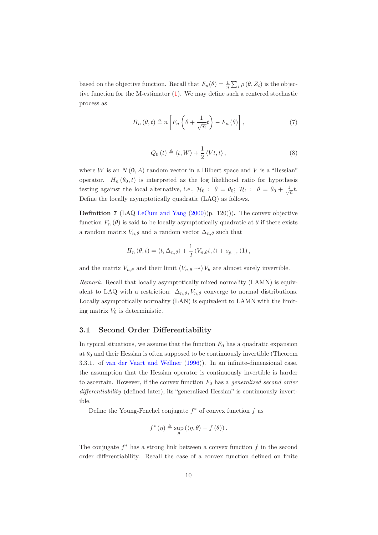based on the objective function. Recall that  $F_n(\theta) = \frac{1}{n} \sum_i \rho(\theta, Z_i)$  is the objective function for the M-estimator [\(1\)](#page-1-0). We may define such a centered stochastic process as

$$
H_n(\theta, t) \triangleq n \left[ F_n\left(\theta + \frac{1}{\sqrt{n}}t\right) - F_n(\theta) \right],\tag{7}
$$

<span id="page-9-1"></span><span id="page-9-0"></span>
$$
Q_0(t) \triangleq \langle t, W \rangle + \frac{1}{2} \langle Vt, t \rangle, \qquad (8)
$$

where W is an  $N(0, A)$  random vector in a Hilbert space and V is a "Hessian" operator.  $H_n(\theta_0, t)$  is interpreted as the log likelihood ratio for hypothesis testing against the local alternative, i.e.,  $\mathcal{H}_0$ :  $\theta = \theta_0$ ;  $\mathcal{H}_1$ :  $\theta = \theta_0 + \frac{1}{\sqrt{n}}t$ . Define the locally asymptotically quadratic (LAQ) as follows.

**Definition 7** (LAQ [LeCum and Yang](#page-25-9)  $(2000)(p. 120)$  $(2000)(p. 120)$ )). The convex objective function  $F_n(\theta)$  is said to be locally asymptotically quadratic at  $\theta$  if there exists a random matrix  $V_{n,\theta}$  and a random vector  $\Delta_{n,\theta}$  such that

$$
H_n(\theta, t) = \langle t, \Delta_{n,\theta} \rangle + \frac{1}{2} \langle V_{n,\theta}t, t \rangle + o_{p_{n,\theta}}(1),
$$

and the matrix  $V_{n,\theta}$  and their limit  $(V_{n,\theta} \leadsto) V_{\theta}$  are almost surely invertible.

Remark. Recall that locally asymptotically mixed normality (LAMN) is equivalent to LAQ with a restriction:  $\Delta_{n,\theta}, V_{n,\theta}$  converge to normal distributions. Locally asymptotically normality (LAN) is equivalent to LAMN with the limiting matrix  $V_{\theta}$  is deterministic.

#### 3.1 Second Order Differentiability

In typical situations, we assume that the function  $F_0$  has a quadratic expansion at  $\theta_0$  and their Hessian is often supposed to be continuously invertible (Theorem 3.3.1. of [van der Vaart and Wellner](#page-25-10) [\(1996\)](#page-25-10)). In an infinite-dimensional case, the assumption that the Hessian operator is continuously invertible is harder to ascertain. However, if the convex function  $F_0$  has a generalized second order differentiability (defined later), its "generalized Hessian" is continuously invertible.

Define the Young-Fenchel conjugate  $f^*$  of convex function  $f$  as

$$
f^{\ast}(\eta) \triangleq \sup_{\theta} (\langle \eta, \theta \rangle - f(\theta)).
$$

The conjugate  $f^*$  has a strong link between a convex function  $f$  in the second order differentiability. Recall the case of a convex function defined on finite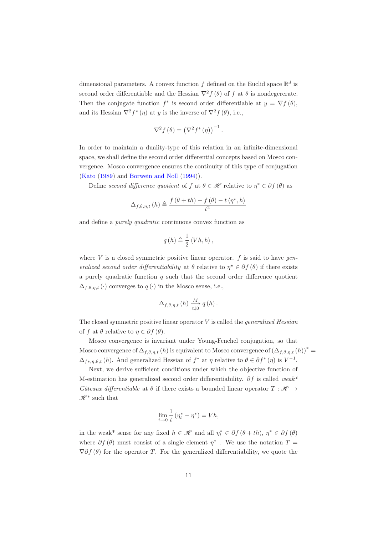dimensional parameters. A convex function  $f$  defined on the Euclid space  $\mathbb{R}^d$  is second order differentiable and the Hessian  $\nabla^2 f(\theta)$  of f at  $\theta$  is nondegererate. Then the conjugate function  $f^*$  is second order differentiable at  $y = \nabla f(\theta)$ , and its Hessian  $\nabla^2 f^*(\eta)$  at y is the inverse of  $\nabla^2 f(\theta)$ , i.e.,

$$
\nabla^2 f(\theta) = (\nabla^2 f^*(\eta))^{-1}.
$$

In order to maintain a duality-type of this relation in an infinite-dimensional space, we shall define the second order differential concepts based on Mosco convergence. Mosco convergence ensures the continuity of this type of conjugation [\(Kato](#page-25-11) [\(1989\)](#page-25-11) and [Borwein and Noll](#page-24-11) [\(1994\)](#page-24-11)).

Define second difference quotient of f at  $\theta \in \mathcal{H}$  relative to  $\eta^* \in \partial f(\theta)$  as

$$
\Delta_{f,\theta,\eta,t}(h) \triangleq \frac{f(\theta+th) - f(\theta) - t\langle \eta^*, h \rangle}{t^2}
$$

and define a purely quadratic continuous convex function as

$$
q(h) \triangleq \frac{1}{2} \left\langle Vh, h \right\rangle,
$$

where  $V$  is a closed symmetric positive linear operator.  $f$  is said to have generalized second order differentiability at  $\theta$  relative to  $\eta^* \in \partial f(\theta)$  if there exists a purely quadratic function  $q$  such that the second order difference quotient  $\Delta_{f,\theta,\eta,t}(\cdot)$  converges to  $q(\cdot)$  in the Mosco sense, i.e.,

$$
\Delta_{f,\theta,\eta,t}\left(h\right)\xrightarrow[t\downarrow0]{M}q\left(h\right).
$$

The closed symmetric positive linear operator  $V$  is called the *generalized Hessian* of f at  $\theta$  relative to  $\eta \in \partial f(\theta)$ .

Mosco convergence is invariant under Young-Fenchel conjugation, so that Mosco convergence of  $\Delta_{f,\theta,\eta,t}(h)$  is equivalent to Mosco convergence of  $(\Delta_{f,\theta,\eta,t}(h))^*$  $\Delta_{f^*,\eta,\theta,t}(h)$ . And generalized Hessian of  $f^*$  at  $\eta$  relative to  $\theta \in \partial f^*(\eta)$  is  $V^{-1}$ .

Next, we derive sufficient conditions under which the objective function of M-estimation has generalized second order differentiability.  $\partial f$  is called weak<sup>\*</sup> Gâteaux differentiable at  $\theta$  if there exists a bounded linear operator  $T : \mathcal{H} \rightarrow$  $\mathscr{H}^*$  such that

$$
\lim_{t \to 0} \frac{1}{t} \left( \eta_t^* - \eta^* \right) = V h,
$$

in the weak<sup>\*</sup> sense for any fixed  $h \in \mathcal{H}$  and all  $\eta_t^* \in \partial f(\theta + th)$ ,  $\eta^* \in \partial f(\theta)$ where  $\partial f(\theta)$  must consist of a single element  $\eta^*$ . We use the notation  $T =$  $\nabla \partial f(\theta)$  for the operator T. For the generalized differentiability, we quote the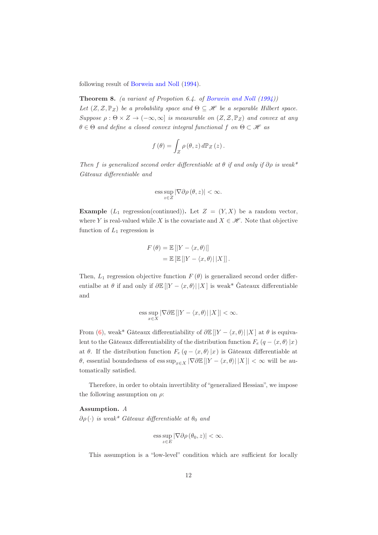following result of [Borwein and Noll](#page-24-11) [\(1994](#page-24-11)).

**Theorem 8.** (a variant of Propotion 6.4. of [Borwein and Noll](#page-24-11)  $(1994)$ ) Let  $(Z, \mathcal{Z}, \mathbb{P}_Z)$  be a probability space and  $\Theta \subseteq \mathcal{H}$  be a separable Hilbert space. Suppose  $\rho : \Theta \times Z \to (-\infty, \infty]$  is measurable on  $(Z, \mathcal{Z}, \mathbb{P}_Z)$  and convex at any  $\theta \in \Theta$  and define a closed convex integral functional f on  $\Theta \subset \mathcal{H}$  as

$$
f(\theta) = \int_{Z} \rho(\theta, z) d\mathbb{P}_{Z}(z).
$$

Then f is generalized second order differentiable at  $\theta$  if and only if  $\partial \rho$  is weak<sup>\*</sup> Gâteaux differentiable and

$$
\mathrm{ess}\sup_{z\in Z}|\nabla\partial\rho\left(\theta,z\right)|<\infty.
$$

**Example**  $(L_1 \text{ regression}(\text{continued}))$ . Let  $Z = (Y, X)$  be a random vector, where Y is real-valued while X is the covariate and  $X \in \mathcal{H}$ . Note that objective function of  $L_1$  regression is

$$
F(\theta) = \mathbb{E}[|Y - \langle x, \theta \rangle|]
$$
  
=  $\mathbb{E}[\mathbb{E}[|Y - \langle x, \theta \rangle| |X|]].$ 

Then,  $L_1$  regression objective function  $F(\theta)$  is generalized second order differentialbe at  $\theta$  if and only if  $\partial \mathbb{E} \left[ |Y - \langle x, \theta \rangle| |X| \right]$  is weak\* Gateaux differentiable and

$$
\text{ess}\sup_{x\in X}|\nabla\partial\mathbb{E}\left[|Y-\langle x,\theta\rangle|\,|X\,\right]|<\infty.
$$

From [\(6\)](#page-6-0), weak\* Gâteaux differentiability of  $\partial \mathbb{E}[|Y - \langle x, \theta \rangle| |X|]$  at  $\theta$  is equivalent to the Gâteaux differentiability of the distribution function  $F_e (q - \langle x, \theta \rangle |x)$ at  $\theta$ . If the distribution function  $F_e (q - \langle x, \theta \rangle |x)$  is Gâteaux differentiable at θ, essential boundedness of ess sup<sub>x∈X</sub> |∇∂E [|Y –  $\langle x, \theta \rangle$ ||X ]| < ∞ will be automatically satisfied.

Therefore, in order to obtain invertiblity of "generalized Hessian", we impose the following assumption on  $\rho$ :

#### Assumption. A

 $\partial \rho(\cdot)$  is weak\* Gâteaux differentiable at  $\theta_0$  and

$$
\text{ess}\sup_{z\in E}|\nabla\partial\rho(\theta_0,z)|<\infty.
$$

This assumption is a "low-level" condition which are sufficient for locally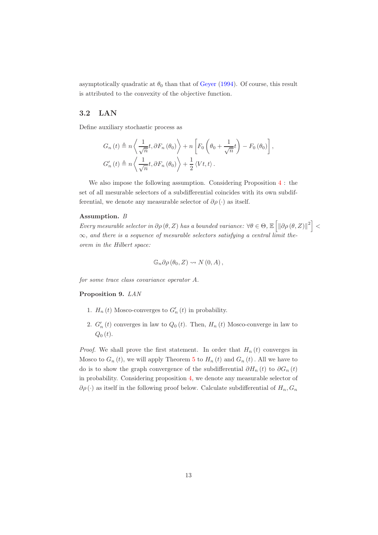asymptotically quadratic at  $\theta_0$  than that of [Geyer](#page-24-5) [\(1994](#page-24-5)). Of course, this result is attributed to the convexity of the objective function.

#### 3.2 LAN

Define auxiliary stochastic process as

$$
G_n(t) \triangleq n \left\langle \frac{1}{\sqrt{n}} t, \partial F_n(\theta_0) \right\rangle + n \left[ F_0 \left( \theta_0 + \frac{1}{\sqrt{n}} t \right) - F_0(\theta_0) \right],
$$
  

$$
G'_n(t) \triangleq n \left\langle \frac{1}{\sqrt{n}} t, \partial F_n(\theta_0) \right\rangle + \frac{1}{2} \left\langle Vt, t \right\rangle.
$$

We also impose the following assumption. Considering Proposition [4](#page-7-1) : the set of all mesurable selectors of a subdifferential coincides with its own subdifferential, we denote any measurable selector of  $\partial \rho(\cdot)$  as itself.

#### Assumption. B

Every mesurable selector in  $\partial \rho(\theta, Z)$  has a bounded variance:  $\forall \theta \in \Theta$ ,  $\mathbb{E}\left[\left\|\partial \rho(\theta, Z)\right\|^2\right]$  <  $\infty$ , and there is a sequence of mesurable selectors satisfying a central limit theorem in the Hilbert space:

$$
\mathbb{G}_n \partial \rho (\theta_0, Z) \rightsquigarrow N(0, A),
$$

for some trace class covariance operator A.

#### <span id="page-12-0"></span>Proposition 9. LAN

- 1.  $H_n(t)$  Mosco-converges to  $G'_n(t)$  in probability.
- 2.  $G'_{n}(t)$  converges in law to  $Q_{0}(t)$ . Then,  $H_{n}(t)$  Mosco-converge in law to  $Q_0(t)$ .

*Proof.* We shall prove the first statement. In order that  $H_n(t)$  converges in Mosco to  $G_n(t)$ , we will apply Theorem [5](#page-7-0) to  $H_n(t)$  and  $G_n(t)$ . All we have to do is to show the graph convergence of the subdifferential  $\partial H_n(t)$  to  $\partial G_n(t)$ in probability. Considering proposition [4,](#page-7-1) we denote any measurable selector of  $\partial \rho(\cdot)$  as itself in the following proof below. Calculate subdifferential of  $H_n, G_n$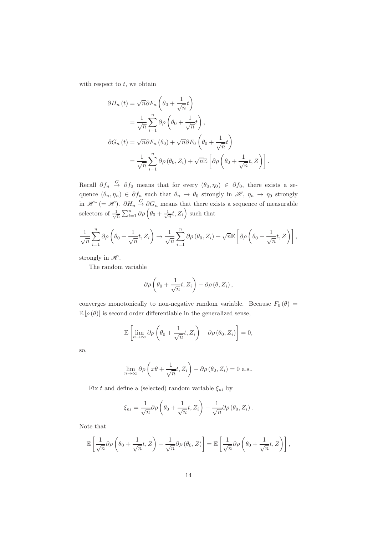with respect to  $t$ , we obtain

$$
\partial H_n(t) = \sqrt{n} \partial F_n \left( \theta_0 + \frac{1}{\sqrt{n}} t \right)
$$
  
=  $\frac{1}{\sqrt{n}} \sum_{i=1}^n \partial \rho \left( \theta_0 + \frac{1}{\sqrt{n}} t \right)$ ,  

$$
\partial G_n(t) = \sqrt{n} \partial F_n(\theta_0) + \sqrt{n} \partial F_0 \left( \theta_0 + \frac{1}{\sqrt{n}} t \right)
$$
  
=  $\frac{1}{\sqrt{n}} \sum_{i=1}^n \partial \rho(\theta_0, Z_i) + \sqrt{n} \mathbb{E} \left[ \partial \rho \left( \theta_0 + \frac{1}{\sqrt{n}} t, Z \right) \right].$ 

Recall  $\partial f_n \stackrel{G}{\to} \partial f_0$  means that for every  $(\theta_0, \eta_0) \in \partial f_0$ , there exists a sequence  $(\theta_n, \eta_n) \in \partial f_n$  such that  $\theta_n \to \theta_0$  strongly in  $\mathscr{H}, \eta_n \to \eta_0$  strongly in  $\mathscr{H}^*$  (=  $\mathscr{H}$ ).  $\partial H_n \stackrel{G}{\rightarrow} \partial G_n$  means that there exists a sequence of measurable selectors of  $\frac{1}{\sqrt{n}} \sum_{i=1}^n \partial \rho \left( \theta_0 + \frac{1}{\sqrt{n}} t, Z_i \right)$  such that

$$
\frac{1}{\sqrt{n}}\sum_{i=1}^{n} \partial \rho \left(\theta_{0} + \frac{1}{\sqrt{n}}t, Z_{i}\right) \to \frac{1}{\sqrt{n}}\sum_{i=1}^{n} \partial \rho \left(\theta_{0}, Z_{i}\right) + \sqrt{n} \mathbb{E}\left[\partial \rho \left(\theta_{0} + \frac{1}{\sqrt{n}}t, Z\right)\right],
$$

strongly in  $\mathscr{H}$ .

The random variable

$$
\partial \rho \left( \theta_0 + \frac{1}{\sqrt{n}} t, Z_i \right) - \partial \rho \left( \theta, Z_i \right),
$$

converges monotonically to non-negative random variable. Because  $F_0(\theta)$  =  $\mathbb{E}[\rho(\theta)]$  is second order differentiable in the generalized sense,

$$
\mathbb{E}\left[\lim_{n\to\infty}\partial\rho\left(\theta_0+\frac{1}{\sqrt{n}}t,Z_i\right)-\partial\rho\left(\theta_0,Z_i\right)\right]=0,
$$

so,

$$
\lim_{n \to \infty} \partial \rho \left( x\theta + \frac{1}{\sqrt{n}}t, Z_i \right) - \partial \rho \left( \theta_0, Z_i \right) = 0 \text{ a.s.}.
$$

Fix t and define a (selected) random variable  $\xi_{ni}$  by

$$
\xi_{ni} = \frac{1}{\sqrt{n}} \partial \rho \left( \theta_0 + \frac{1}{\sqrt{n}} t, Z_i \right) - \frac{1}{\sqrt{n}} \partial \rho \left( \theta_0, Z_i \right).
$$

Note that

$$
\mathbb{E}\left[\frac{1}{\sqrt{n}}\partial\rho\left(\theta_0+\frac{1}{\sqrt{n}}t,Z\right)-\frac{1}{\sqrt{n}}\partial\rho\left(\theta_0,Z\right)\right]=\mathbb{E}\left[\frac{1}{\sqrt{n}}\partial\rho\left(\theta_0+\frac{1}{\sqrt{n}}t,Z\right)\right],
$$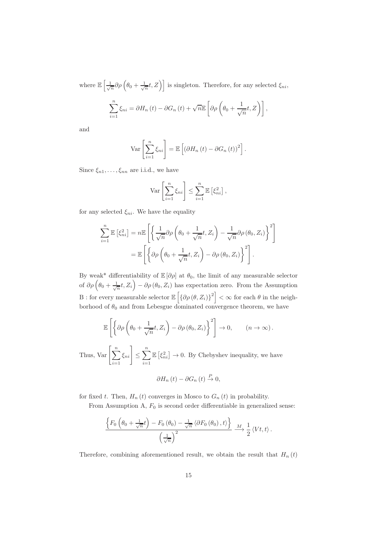where  $\mathbb{E}\left[\frac{1}{\sqrt{n}}\partial\rho\left(\theta_0+\frac{1}{\sqrt{n}}t,Z\right)\right]$  is singleton. Therefore, for any selected  $\xi_{ni}$ ,  $\sum_{n=1}^{\infty}$  $\sum_{i=1}^{n} \xi_{ni} = \partial H_n(t) - \partial G_n(t) + \sqrt{n} \mathbb{E}\left[\partial \rho \left(\theta_0 + \frac{1}{\sqrt{n}}\right)\right]$  $\left[\frac{1}{\sqrt{n}}t,Z\right)\right],$ 

and

$$
\operatorname{Var}\left[\sum_{i=1}^{n} \xi_{ni}\right] = \mathbb{E}\left[\left(\partial H_n\left(t\right) - \partial G_n\left(t\right)\right)^2\right].
$$

Since  $\xi_{n1}, \ldots, \xi_{nn}$  are i.i.d., we have

$$
\operatorname{Var}\left[\sum_{i=1}^n \xi_{ni}\right] \le \sum_{i=1}^n \mathbb{E}\left[\xi_{ni}^2\right],
$$

for any selected  $\xi_{ni}$ . We have the equality

$$
\sum_{i=1}^{n} \mathbb{E} \left[ \xi_{ni}^{2} \right] = n \mathbb{E} \left[ \left\{ \frac{1}{\sqrt{n}} \partial \rho \left( \theta_{0} + \frac{1}{\sqrt{n}} t, Z_{i} \right) - \frac{1}{\sqrt{n}} \partial \rho \left( \theta_{0}, Z_{i} \right) \right\}^{2} \right]
$$

$$
= \mathbb{E} \left[ \left\{ \partial \rho \left( \theta_{0} + \frac{1}{\sqrt{n}} t, Z_{i} \right) - \partial \rho \left( \theta_{0}, Z_{i} \right) \right\}^{2} \right].
$$

By weak\* differentiability of  $\mathbb{E}[\partial \rho]$  at  $\theta_0$ , the limit of any measurable selector of  $\partial \rho \left( \theta_0 + \frac{1}{\sqrt{n}}t, Z_i \right) - \partial \rho (\theta_0, Z_i)$  has expectation zero. From the Assumption B : for every measurable selector  $\mathbb{E}\left[\left\{\partial \rho(\theta, Z_i)\right\}^2\right] < \infty$  for each  $\theta$  in the neighborhood of  $\theta_0$  and from Lebesgue dominated convergence theorem, we have

$$
\mathbb{E}\left[\left\{\partial \rho \left(\theta_0 + \frac{1}{\sqrt{n}}t, Z_i\right) - \partial \rho \left(\theta_0, Z_i\right)\right\}^2\right] \to 0, \qquad (n \to \infty).
$$

Thus, Var  $\left[\sum_{n=1}^n\right]$  $i=1$  $\left\vert \xi_{ni}\right\vert \leq\sum^{n}% \left\vert \xi_{n}\right\vert ^{2}$  $i=1$  $\mathbb{E} \left[ \xi_{ni}^2 \right] \to 0$ . By Chebyshev inequality, we have

$$
\partial H_n(t) - \partial G_n(t) \stackrel{P}{\to} 0,
$$

for fixed t. Then,  $H_n(t)$  converges in Mosco to  $G_n(t)$  in probability.

From Assumption A,  $F_0$  is second order differentiable in generalized sense:

$$
\frac{\left\{F_0\left(\theta_0 + \frac{1}{\sqrt{n}}t\right) - F_0\left(\theta_0\right) - \frac{1}{\sqrt{n}}\left\langle\partial F_0\left(\theta_0\right), t\right\rangle\right\}}{\left(\frac{1}{\sqrt{n}}\right)^2} \xrightarrow{M} \frac{1}{2} \left\langle Vt, t\right\rangle.
$$

Therefore, combining aforementioned result, we obtain the result that  $H_n(t)$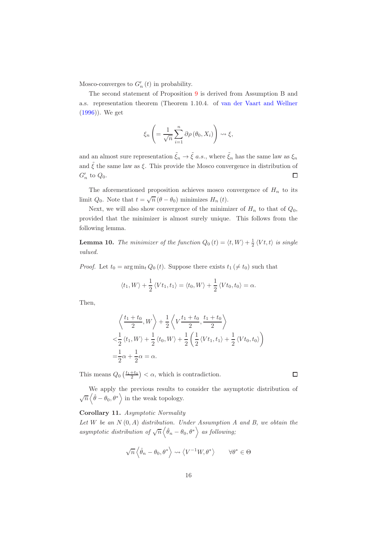Mosco-converges to  $G'_{n}(t)$  in probability.

The second statement of Proposition [9](#page-12-0) is derived from Assumption B and a.s. representation theorem (Theorem 1.10.4. of [van der Vaart and Wellner](#page-25-10) [\(1996\)](#page-25-10)). We get

$$
\xi_n\left(=\frac{1}{\sqrt{n}}\sum_{i=1}^n\partial\rho\left(\theta_0,X_i\right)\right)\leadsto\xi,
$$

and an almost sure representation  $\tilde{\xi}_n \to \tilde{\xi}$  a.s., where  $\tilde{\xi}_n$  has the same law as  $\xi_n$ and  $\tilde{\xi}$  the same law as  $\xi$ . This provide the Mosco convergence in distribution of  $\Box$  $G'_n$  to  $Q_0$ .

The aforementioned proposition achieves mosco convergence of  $H_n$  to its limit  $Q_0$ . Note that  $t = \sqrt{n} (\theta - \theta_0)$  minimizes  $H_n(t)$ .

Next, we will also show convergence of the minimizer of  $H_n$  to that of  $Q_0$ , provided that the minimizer is almost surely unique. This follows from the following lemma.

<span id="page-15-0"></span>**Lemma 10.** The minimizer of the function  $Q_0(t) = \langle t, W \rangle + \frac{1}{2} \langle Vt, t \rangle$  is single valued.

*Proof.* Let  $t_0 = \arg \min_t Q_0(t)$ . Suppose there exists  $t_1 \neq t_0$  such that

$$
\langle t_1, W \rangle + \frac{1}{2} \langle Vt_1, t_1 \rangle = \langle t_0, W \rangle + \frac{1}{2} \langle Vt_0, t_0 \rangle = \alpha.
$$

Then,

$$
\left\langle \frac{t_1+t_0}{2}, W \right\rangle + \frac{1}{2} \left\langle V \frac{t_1+t_0}{2}, \frac{t_1+t_0}{2} \right\rangle
$$
  

$$
< \frac{1}{2} \left\langle t_1, W \right\rangle + \frac{1}{2} \left\langle t_0, W \right\rangle + \frac{1}{2} \left( \frac{1}{2} \left\langle V t_1, t_1 \right\rangle + \frac{1}{2} \left\langle V t_0, t_0 \right\rangle \right)
$$
  

$$
= \frac{1}{2} \alpha + \frac{1}{2} \alpha = \alpha.
$$

This means  $Q_0\left(\frac{t_1+t_0}{2}\right) < \alpha$ , which is contradiction.

We apply the previous results to consider the asymptotic distribution of  $\sqrt{n} \left\langle \hat{\theta} - \theta_0, \theta^* \right\rangle$  in the weak topology.

#### Corollary 11. Asymptotic Normality

Let  $W$  be an  $N(0, A)$  distribution. Under Assumption  $A$  and  $B$ , we obtain the asymptotic distribution of  $\sqrt{n} \langle \hat{\theta}_n - \theta_0, \theta^* \rangle$  as following;

$$
\sqrt{n}\left\langle \hat{\theta}_n - \theta_0, \theta^* \right\rangle \rightsquigarrow \left\langle V^{-1}W, \theta^* \right\rangle \qquad \forall \theta^* \in \Theta
$$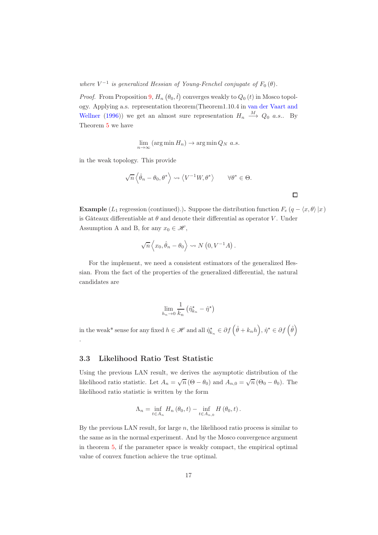where  $V^{-1}$  is generalized Hessian of Young-Fenchel conjugate of  $F_0(\theta)$ .

*Proof.* From Proposition [9,](#page-12-0)  $H_n(\theta_0, \hat{t})$  converges weakly to  $Q_0(t)$  in Mosco topology. A[pplying a.s. representation theorem\(Theorem1.10.4](#page-25-10) in van der Vaart and Wellner [\(1996\)](#page-25-10)) we get an almost sure representation  $H_n \xrightarrow{M} Q_0 a.s..$  By Theorem [5](#page-7-0) we have

$$
\lim_{n \to \infty} (\arg \min H_n) \to \arg \min Q_N \ a.s.
$$

in the weak topology. This provide

$$
\sqrt{n}\left\langle \hat{\theta}_n - \theta_0, \theta^* \right\rangle \rightsquigarrow \left\langle V^{-1}W, \theta^* \right\rangle \qquad \forall \theta^* \in \Theta.
$$

**Example** (L<sub>1</sub> regression (continued).). Suppose the distribution function  $F_e (q - \langle x, \theta \rangle |x)$ is Gâteaux differentiable at  $\theta$  and denote their differential as operator V. Under Assumption A and B, for any  $x_0 \in \mathcal{H}$ ,

 $\Box$ 

$$
\sqrt{n}\left\langle x_0, \hat{\theta}_n - \theta_0 \right\rangle \rightsquigarrow N\left(0, V^{-1}A\right).
$$

For the implement, we need a consistent estimators of the generalized Hessian. From the fact of the properties of the generalized differential, the natural candidates are

$$
\lim_{h_n \to 0} \frac{1}{k_n} \left( \hat{\eta}_{k_n}^{\star} - \hat{\eta}^{\star} \right)
$$

in the weak\* sense for any fixed  $h \in \mathcal{H}$  and all  $\hat{\eta}_{k_n}^{\star} \in \partial f\left(\hat{\theta} + k_n h\right), \hat{\eta}^{\star} \in \partial f\left(\hat{\theta}\right)$ .

## 3.3 Likelihood Ratio Test Statistic

Using the previous LAN result, we derives the asymptotic distribution of the likelihood ratio statistic. Let  $A_n = \sqrt{n} (\Theta - \theta_0)$  and  $A_{n,0} = \sqrt{n} (\Theta_0 - \theta_0)$ . The likelihood ratio statistic is written by the form

$$
\Lambda_n = \inf_{t \in A_n} H_n(\theta_0, t) - \inf_{t \in A_{n,0}} H(\theta_0, t).
$$

By the previous LAN result, for large  $n$ , the likelihood ratio process is similar to the same as in the normal experiment. And by the Mosco convergence argument in theorem [5,](#page-7-0) if the parameter space is weakly compact, the empirical optimal value of convex function achieve the true optimal.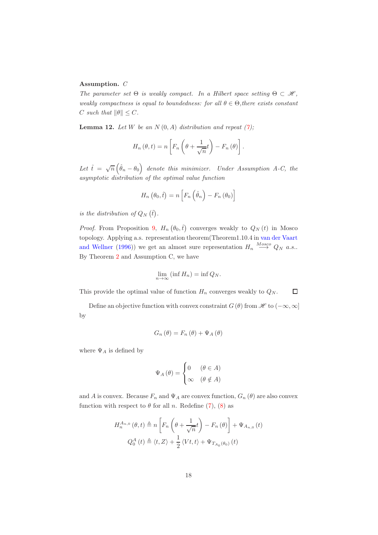#### Assumption. C

The parameter set  $\Theta$  is weakly compact. In a Hilbert space setting  $\Theta \subset \mathcal{H}$ , weakly compactness is equal to boundedness: for all  $\theta \in \Theta$ , there exists constant C such that  $\|\theta\| \leq C$ .

<span id="page-17-0"></span>**Lemma 12.** Let W be an  $N(0, A)$  distribution and repeat  $(7)$ ;

$$
H_n(\theta, t) = n \left[ F_n \left( \theta + \frac{1}{\sqrt{n}} t \right) - F_n(\theta) \right].
$$

Let  $\hat{t} = \sqrt{n} \left( \hat{\theta}_n - \theta_0 \right)$  denote this minimizer. Under Assumption A-C, the asymptotic distribution of the optimal value function

$$
H_n\left(\theta_0,\hat{t}\right) = n\left[F_n\left(\hat{\theta}_n\right) - F_n\left(\theta_0\right)\right]
$$

is the distribution of  $Q_N(\hat{t})$ .

*Proof.* From Proposition [9,](#page-12-0)  $H_n(\theta_0, \hat{t})$  converges weakly to  $Q_N(t)$  in Mosco topology. A[pplying a.s. representation theorem\(Theorem1.10.4 in](#page-25-10) van der Vaart and Wellner [\(1996](#page-25-10))) we get an almost sure representation  $H_n \stackrel{Mosco}{\longrightarrow} Q_N$  a.s.. By Theorem [2](#page-5-0) and Assumption C, we have

$$
\lim_{n \to \infty} (\inf H_n) = \inf Q_N.
$$

This provide the optimal value of function  $H_n$  converges weakly to  $Q_N$ .  $\Box$ 

Define an objective function with convex constraint  $G(\theta)$  from  $\mathscr{H}$  to  $(-\infty,\infty]$ by

$$
G_n(\theta) = F_n(\theta) + \Psi_A(\theta)
$$

where  $\Psi_A$  is defined by

$$
\Psi_A(\theta) = \begin{cases} 0 & (\theta \in A) \\ \infty & (\theta \notin A) \end{cases}
$$

and A is convex. Because  $F_n$  and  $\Psi_A$  are convex function,  $G_n(\theta)$  are also convex function with respect to  $\theta$  for all n. Redefine [\(7\)](#page-9-0), [\(8\)](#page-9-1) as

$$
H_n^{A_{n,0}}(\theta, t) \triangleq n \left[ F_n \left( \theta + \frac{1}{\sqrt{n}} t \right) - F_n(\theta) \right] + \Psi_{A_{n,0}}(t)
$$
  

$$
Q_0^A(t) \triangleq \langle t, Z \rangle + \frac{1}{2} \langle Vt, t \rangle + \Psi_{T_{A_0}(\theta_0)}(t)
$$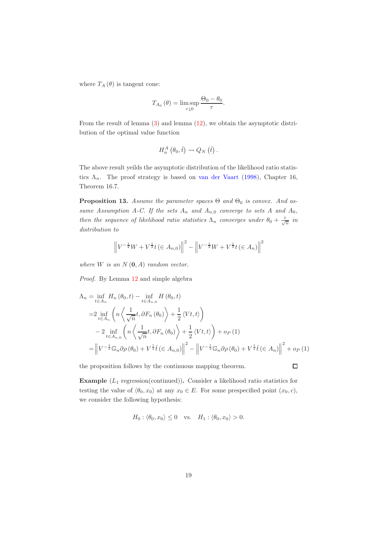where  $T_A(\theta)$  is tangent cone:

$$
T_{A_0}(\theta) = \limsup_{\tau \downarrow 0} \frac{\Theta_0 - \theta_0}{\tau}.
$$

From the result of lemma [\(3\)](#page-6-1) and lemma [\(12\)](#page-17-0), we obtain the asymptotic distribution of the optimal value function

$$
H_n^A(\theta_0,\hat{t})\rightsquigarrow Q_N(\hat{t})\,.
$$

The above result yeilds the asymptotic distribution of the likelihood ratio statistics  $\Lambda_n$ . The proof strategy is based on [van der Vaart](#page-25-12) [\(1998](#page-25-12)), Chapter 16, Theorem 16.7.

**Proposition 13.** Assume the parameter spaces  $\Theta$  and  $\Theta_0$  is convex. And assume Assumption A-C. If the sets  $A_n$  and  $A_{n,0}$  converge to sets A and  $A_0$ , then the sequence of likelihood ratio statistics  $\Lambda_n$  converges under  $\theta_0 + \frac{t}{\sqrt{n}}$  in distribution to

$$
\left\| V^{-\frac{1}{2}}W + V^{\frac{1}{2}}t \left( \in A_{n,0} \right) \right\|^2 - \left\| V^{-\frac{1}{2}}W + V^{\frac{1}{2}}t \left( \in A_n \right) \right\|^2
$$

where  $W$  is an  $N(\mathbf{0}, A)$  random vector.

Proof. By Lemma [12](#page-17-0) and simple algebra

$$
\Lambda_n = \inf_{t \in A_n} H_n(\theta_0, t) - \inf_{t \in A_{n,0}} H(\theta_0, t)
$$
  
\n
$$
= 2 \inf_{t \in A_n} \left( n \left\langle \frac{1}{\sqrt{n}} t, \partial F_n(\theta_0) \right\rangle + \frac{1}{2} \langle Vt, t \rangle \right)
$$
  
\n
$$
- 2 \inf_{t \in A_{n,0}} \left( n \left\langle \frac{1}{\sqrt{n}} t, \partial F_n(\theta_0) \right\rangle + \frac{1}{2} \langle Vt, t \rangle \right) + o_P(1)
$$
  
\n
$$
= \left\| V^{-\frac{1}{2}} \mathbb{G}_n \partial \rho(\theta_0) + V^{\frac{1}{2}} \hat{t} \left( \in A_{n,0} \right) \right\|^2 - \left\| V^{-\frac{1}{2}} \mathbb{G}_n \partial \rho(\theta_0) + V^{\frac{1}{2}} \hat{t} \left( \in A_n \right) \right\|^2 + o_P(1)
$$

the proposition follows by the continuous mapping theorem.

 $\Box$ 

**Example**  $(L_1 \text{ regression}(\text{continued}))$ . Consider a likelihood ratio statistics for testing the value of  $\langle \theta_0, x_0 \rangle$  at any  $x_0 \in E$ . For some prespecified point  $(x_0, c)$ , we consider the following hypothesis:

$$
H_0: \langle \theta_0, x_0 \rangle \le 0 \quad \text{vs.} \quad H_1: \langle \theta_0, x_0 \rangle > 0.
$$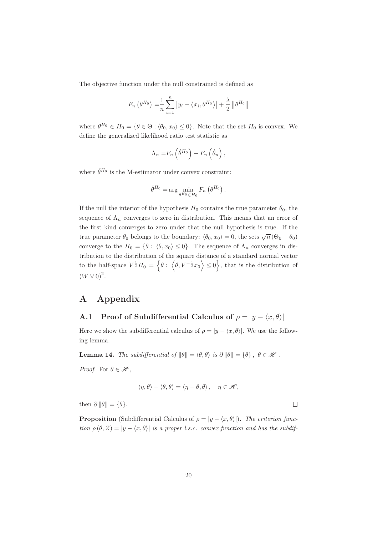The objective function under the null constrained is defined as

$$
F_n(\theta^{H_0}) = \frac{1}{n} \sum_{i=1}^n |y_i - \langle x_i, \theta^{H_0} \rangle| + \frac{\lambda}{2} ||\theta^{H_0}||
$$

where  $\theta^{H_0} \in H_0 = \{ \theta \in \Theta : \langle \theta_0, x_0 \rangle \leq 0 \}.$  Note that the set  $H_0$  is convex. We define the generalized likelihood ratio test statistic as

$$
\Lambda_n = F_n \left( \hat{\theta}^{H_0} \right) - F_n \left( \hat{\theta}_n \right),
$$

where  $\hat{\theta}^{H_0}$  is the M-estimator under convex constraint:

$$
\hat{\theta}^{H_0} = \arg\min_{\theta^{H_0} \in H_0} F_n \left( \theta^{H_0} \right).
$$

If the null the interior of the hypothesis  $H_0$  contains the true parameter  $\theta_0$ , the sequence of  $\Lambda_n$  converges to zero in distribution. This means that an error of the first kind converges to zero under that the null hypothesis is true. If the true parameter  $\theta_0$  belongs to the boundary:  $\langle \theta_0, x_0 \rangle = 0$ , the sets  $\sqrt{n} (\Theta_0 - \theta_0)$ converge to the  $H_0 = \{ \theta : \langle \theta, x_0 \rangle \leq 0 \}.$  The sequence of  $\Lambda_n$  converges in distribution to the distribution of the square distance of a standard normal vector to the half-space  $V^{\frac{1}{2}}H_0 = \left\{\theta : \left\langle \theta, V^{-\frac{1}{2}}x_0 \right\rangle \leq 0 \right\}$ , that is the distribution of  $(W \vee 0)^2$ .

# A Appendix

# A.1 Proof of Subdifferential Calculus of  $\rho = |y - \langle x, \theta \rangle|$

Here we show the subdifferential calculus of  $\rho = |y - \langle x, \theta \rangle|$ . We use the following lemma.

**Lemma 14.** The subdifferential of  $\|\theta\| = \langle \theta, \theta \rangle$  is  $\partial \|\theta\| = \{\theta\}, \ \theta \in \mathcal{H}$ .

Proof. For  $\theta \in \mathcal{H}$ ,

$$
\langle \eta, \theta \rangle - \langle \theta, \theta \rangle = \langle \eta - \theta, \theta \rangle \, , \quad \eta \in \mathscr{H},
$$

then  $\partial \|\theta\| = {\theta}.$ 

**Proposition** (Subdifferential Calculus of  $\rho = |y - \langle x, \theta \rangle|$ ). The criterion function  $\rho(\theta, Z) = |y - \langle x, \theta \rangle|$  is a proper l.s.c. convex function and has the subdif-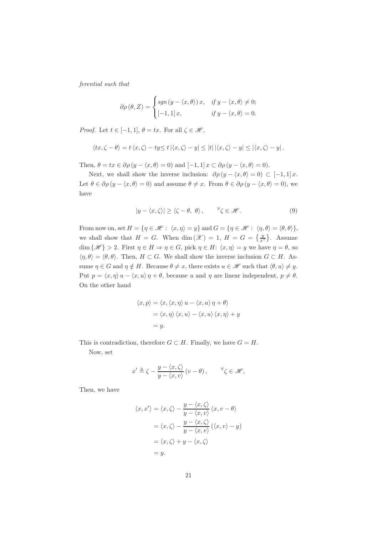ferential such that

$$
\partial \rho (\theta, Z) = \begin{cases} sgn (y - \langle x, \theta \rangle) x, & \text{if } y - \langle x, \theta \rangle \neq 0; \\ [-1, 1] x, & \text{if } y - \langle x, \theta \rangle = 0. \end{cases}
$$

*Proof.* Let  $t \in [-1, 1], \theta = tx$ . For all  $\zeta \in \mathcal{H}$ ,

$$
\langle tx, \zeta - \theta \rangle = t \langle x, \zeta \rangle - ty \le t \left| \langle x, \zeta \rangle - y \right| \le |t| \left| \langle x, \zeta \rangle - y \right| \le \left| \langle x, \zeta \rangle - y \right|.
$$

Then,  $\theta = tx \in \partial \rho (y - \langle x, \theta \rangle = 0)$  and  $[-1, 1] x \subset \partial \rho (y - \langle x, \theta \rangle = 0)$ .

Next, we shall show the inverse inclusion:  $\partial \rho (y - \langle x, \theta \rangle = 0) \subset [-1, 1] x$ . Let  $\theta \in \partial \rho (y - \langle x, \theta \rangle = 0)$  and assume  $\theta \neq x$ . From  $\theta \in \partial \rho (y - \langle x, \theta \rangle = 0)$ , we have

<span id="page-20-0"></span>
$$
|y - \langle x, \zeta \rangle| \ge \langle \zeta - \theta, \, \theta \rangle \,, \qquad \forall \zeta \in \mathcal{H}.
$$
 (9)

From now on, set  $H = \{ \eta \in \mathcal{H} : \langle x, \eta \rangle = y \}$  and  $G = \{ \eta \in \mathcal{H} : \langle \eta, \theta \rangle = \langle \theta, \theta \rangle \},\$ we shall show that  $H = G$ . When  $\dim(\mathcal{X}) = 1$ ,  $H = G = \{\frac{y}{x^*}\}\.$  Assume dim  $\{\mathscr{H}\}\geq 2$ . First  $\eta\in H\Rightarrow \eta\in G$ , pick  $\eta\in H: \langle x, \eta\rangle = y$  we have  $\eta = \theta$ , so  $\langle \eta, \theta \rangle = \langle \theta, \theta \rangle$ . Then,  $H \subset G$ . We shall show the inverse inclusion  $G \subset H$ . Assume  $\eta \in G$  and  $\eta \notin H$ . Because  $\theta \neq x$ , there exists  $u \in \mathscr{H}$  such that  $\langle \theta, u \rangle \neq y$ . Put  $p = \langle x, \eta \rangle u - \langle x, u \rangle \eta + \theta$ , because u and  $\eta$  are linear independent,  $p \neq \theta$ . On the other hand

$$
\langle x, p \rangle = \langle x, \langle x, \eta \rangle u - \langle x, u \rangle \eta + \theta \rangle
$$
  
=  $\langle x, \eta \rangle \langle x, u \rangle - \langle x, u \rangle \langle x, \eta \rangle + y$   
= y.

This is contradiction, therefore  $G \subset H$ . Finally, we have  $G = H$ . Now, set

$$
x' \triangleq \zeta - \frac{y - \langle x, \zeta \rangle}{y - \langle x, v \rangle} (v - \theta), \qquad \forall \zeta \in \mathcal{H},
$$

Then, we have

$$
\langle x, x' \rangle = \langle x, \zeta \rangle - \frac{y - \langle x, \zeta \rangle}{y - \langle x, v \rangle} \langle x, v - \theta \rangle
$$

$$
= \langle x, \zeta \rangle - \frac{y - \langle x, \zeta \rangle}{y - \langle x, v \rangle} (\langle x, v \rangle - y)
$$

$$
= \langle x, \zeta \rangle + y - \langle x, \zeta \rangle
$$

$$
= y.
$$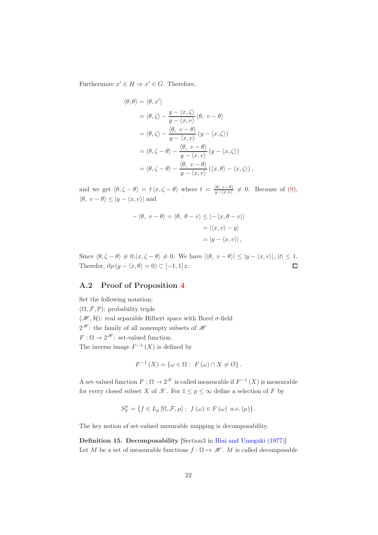Furthermore  $x' \in H \Rightarrow x' \in G$ . Therefore,

$$
\langle \theta, \theta \rangle = \langle \theta, x' \rangle
$$
  
\n
$$
= \langle \theta, \zeta \rangle - \frac{y - \langle x, \zeta \rangle}{y - \langle x, v \rangle} \langle \theta, v - \theta \rangle
$$
  
\n
$$
= \langle \theta, \zeta \rangle - \frac{\langle \theta, v - \theta \rangle}{y - \langle x, v \rangle} (y - \langle x, \zeta \rangle)
$$
  
\n
$$
= \langle \theta, \zeta - \theta \rangle - \frac{\langle \theta, v - \theta \rangle}{y - \langle x, v \rangle} (y - \langle x, \zeta \rangle)
$$
  
\n
$$
= \langle \theta, \zeta - \theta \rangle - \frac{\langle \theta, v - \theta \rangle}{y - \langle x, v \rangle} (\langle x, \theta \rangle - \langle x, \zeta \rangle),
$$

and we get  $\langle \theta, \zeta - \theta \rangle = t \langle x, \zeta - \theta \rangle$  where  $t = \frac{\langle \theta, v - \theta \rangle}{y - \langle x, v \rangle}$  $\frac{\partial \langle \theta, v - \theta \rangle}{\partial y - \langle x, v \rangle} \neq 0$ . Because of [\(9\)](#page-20-0),  $\langle \theta, v - \theta \rangle \leq |y - \langle x, v \rangle|$  and

$$
-\langle \theta, v - \theta \rangle = \langle \theta, \theta - v \rangle \le | - \langle x, \theta - v \rangle |
$$

$$
= | \langle x, v \rangle - y |
$$

$$
= | y - \langle x, v \rangle |,
$$

Since  $\langle \theta, \zeta - \theta \rangle \neq 0, \langle x, \zeta - \theta \rangle \neq 0$ . We have  $|\langle \theta, v - \theta \rangle| \leq |y - \langle x, v \rangle|, |t| \leq 1$ . Therefor,  $\partial \rho (y - \langle x, \theta \rangle = 0) \subset [-1, 1] x$ .  $\Box$ 

#### A.2 Proof of Proposition [4](#page-7-1)

Set the following notation;  $(\Omega, \mathcal{F}, \mathbb{P})$ : probability triple  $(\mathcal{H}, \mathcal{H})$ : real separable Hilbert space with Borel  $\sigma$ -field  $2^{\mathcal{H}}$ : the family of all nonempty subsets of  $\mathcal{H}$  $F: \Omega \to 2^{\mathscr{H}}$ : set-valued function. The inverse image  $F^{-1}(X)$  is defined by

$$
F^{-1}(X) = \{ \omega \in \Omega : F(\omega) \cap X \neq \emptyset \}.
$$

A set-valued function  $F: \Omega \to 2^{\mathcal{X}}$  is called measurable if  $F^{-1}(X)$  is measurable for every closed subset X of  $\mathscr X$ . For  $1 \leq p \leq \infty$  define a selection of F by

$$
S_F^p = \{ f \in L_p \left[ \Omega, \mathcal{F}, \mu \right] : f(\omega) \in F(\omega) \text{ a.e. } (\mu) \}.
$$

The key notion of set-valued mesurable mapping is decomposability.

Definition 15. Decomposability [Section3 in [Hiai and Umegaki](#page-24-12) [\(1977\)](#page-24-12)] Let M be a set of measurable functions  $f : \Omega \mapsto \mathscr{H}$ . M is called decomposable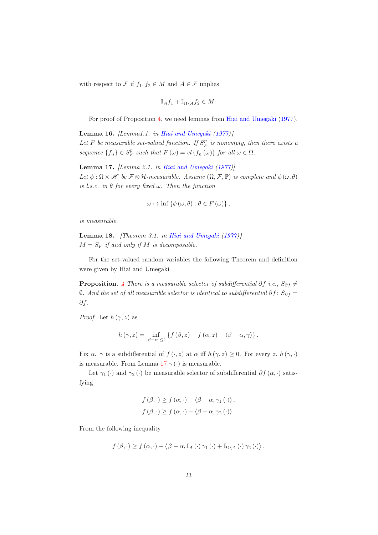with respect to  $\mathcal F$  if  $f_1,f_2\in M$  and  $A\in\mathcal F$  implies

$$
\mathbb{I}_A f_1 + \mathbb{I}_{\Omega \setminus A} f_2 \in M.
$$

For proof of Proposition [4,](#page-7-1) we need lemmas from [Hiai and Umegaki](#page-24-12) [\(1977](#page-24-12)).

<span id="page-22-2"></span>**Lemma 16.** [Lemma1.1. in [Hiai and Umegaki](#page-24-12)  $(1977)$  $(1977)$ ] Let F be measurable set-valued function. If  $S_F^p$  is nonempty, then there exists a sequence  $\{f_n\} \in S_F^p$  such that  $F(\omega) = cl \{f_n(\omega)\}\$  for all  $\omega \in \Omega$ .

<span id="page-22-0"></span>Lemma 17. [Lemma 2.1. in [Hiai and Umegaki](#page-24-12) [\(1977\)](#page-24-12)] Let  $\phi : \Omega \times \mathcal{H}$  be  $\mathcal{F} \otimes \mathcal{H}$ -measurable. Assume  $(\Omega, \mathcal{F}, \mathbb{P})$  is complete and  $\phi(\omega, \theta)$ is l.s.c. in  $\theta$  for every fixed  $\omega$ . Then the function

$$
\omega \mapsto \inf \left\{ \phi(\omega, \theta) : \theta \in F(\omega) \right\},\
$$

is measurable.

<span id="page-22-1"></span>**Lemma 18.** [Theorem 3.1. in [Hiai and Umegaki](#page-24-12)  $(1977)$  $(1977)$ ]  $M = S_F$  if and only if M is decomposable.

For the set-valued random variables the following Theorem and definition were given by Hiai and Umegaki

**Proposition.** [4](#page-7-1) There is a measurable selector of subdifferential  $\partial f$  i.e.,  $S_{\partial f} \neq$  $θ$ . And the set of all measurable selector is identical to subdifferential  $∂f$ :  $S_{∂f}$  = ∂f.

*Proof.* Let  $h(\gamma, z)$  as

$$
h(\gamma, z) = \inf_{|\beta - \alpha| \leq 1} \left\{ f(\beta, z) - f(\alpha, z) - \langle \beta - \alpha, \gamma \rangle \right\}.
$$

Fix  $\alpha$ .  $\gamma$  is a subdifferential of  $f(\cdot, z)$  at  $\alpha$  iff  $h(\gamma, z) \geq 0$ . For every  $z, h(\gamma, \cdot)$ is measurable. From Lemma [17](#page-22-0)  $\gamma$  (·) is measurable.

Let  $\gamma_1(\cdot)$  and  $\gamma_2(\cdot)$  be measurable selector of subdifferential  $\partial f(\alpha, \cdot)$  satisfying

$$
f(\beta, \cdot) \ge f(\alpha, \cdot) - \langle \beta - \alpha, \gamma_1(\cdot) \rangle,
$$
  

$$
f(\beta, \cdot) \ge f(\alpha, \cdot) - \langle \beta - \alpha, \gamma_2(\cdot) \rangle.
$$

From the following inequality

$$
f(\beta,\cdot)\geq f(\alpha,\cdot)-\left\langle \beta-\alpha,\mathbb{I}_A\left(\cdot\right)\gamma_1\left(\cdot\right)+\mathbb{I}_{\Omega\setminus A}\left(\cdot\right)\gamma_2\left(\cdot\right)\right\rangle,
$$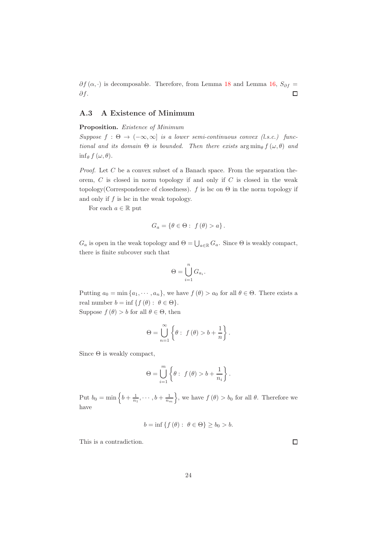$\partial f(\alpha, \cdot)$  is decomposable. Therefore, from Lemma [18](#page-22-1) and Lemma [16,](#page-22-2)  $S_{\partial f}$  = ∂f.  $\Box$ 

## A.3 A Existence of Minimum

#### Proposition. Existence of Minimum

Suppose  $f : \Theta \to (-\infty, \infty]$  is a lower semi-continuous convex (l.s.c.) functional and its domain  $\Theta$  is bounded. Then there exists  $\arg \min_{\theta} f(\omega, \theta)$  and  $\inf_{\theta} f(\omega, \theta).$ 

*Proof.* Let  $C$  be a convex subset of a Banach space. From the separation theorem,  $C$  is closed in norm topology if and only if  $C$  is closed in the weak topology(Correspondence of closedness).  $f$  is lsc on  $\Theta$  in the norm topology if and only if  $f$  is lsc in the weak topology.

For each  $a \in \mathbb{R}$  put

$$
G_a = \{ \theta \in \Theta : f(\theta) > a \}.
$$

 $G_a$  is open in the weak topology and  $\Theta = \bigcup_{a \in \mathbb{R}} G_a$ . Since  $\Theta$  is weakly compact, there is finite subcover such that

$$
\Theta = \bigcup_{i=1}^{n} G_{a_i}.
$$

Putting  $a_0 = \min\{a_1, \dots, a_n\}$ , we have  $f(\theta) > a_0$  for all  $\theta \in \Theta$ . There exists a real number  $b = \inf \{ f(\theta) : \theta \in \Theta \}.$ 

Suppose  $f(\theta) > b$  for all  $\theta \in \Theta$ , then

$$
\Theta = \bigcup_{n=1}^{\infty} \left\{ \theta : f(\theta) > b + \frac{1}{n} \right\}.
$$

Since  $\Theta$  is weakly compact,

$$
\Theta = \bigcup_{i=1}^{m} \left\{ \theta : f(\theta) > b + \frac{1}{n_i} \right\}.
$$

Put  $b_0 = \min \left\{b + \frac{1}{n_1}, \cdots, b + \frac{1}{n_m}\right\}$ , we have  $f(\theta) > b_0$  for all  $\theta$ . Therefore we have

$$
b = \inf \{ f(\theta) : \ \theta \in \Theta \} \ge b_0 > b.
$$

This is a contradiction.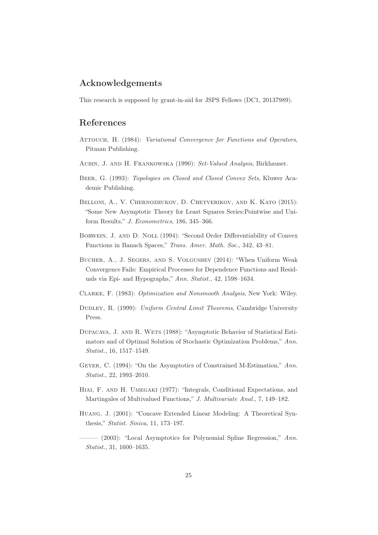# Acknowledgements

This research is supposed by grant-in-aid for JSPS Fellows (DC1, 20137989).

# References

- <span id="page-24-4"></span>Attouch, H. (1984): Variational Convergence for Functions and Operators, Pitman Publishing.
- <span id="page-24-9"></span>AUBIN, J. AND H. FRANKOWSKA (1990): Set-Valued Analysis, Birkhauser.
- <span id="page-24-8"></span>Beer, G. (1993): Topologies on Closed and Closed Convex Sets, Kluwer Academic Publishing.
- <span id="page-24-2"></span>Belloni, A., V. Chernozhukov, D. Chetverikov, and K. Kato (2015): "Some New Asymptotic Theory for Least Squares Series:Pointwise and Uniform Results," J. Econometrics, 186, 345–366.
- <span id="page-24-11"></span>Borwein, J. and D. Noll (1994): "Second Order Differentiability of Convex Functions in Banach Spaces," Trans. Amer. Math. Soc., 342, 43–81.
- <span id="page-24-7"></span>Bucher, A., J. Segers, and S. Volgushev (2014): "When Uniform Weak Convergence Fails: Empirical Processes for Dependence Functions and Residuals via Epi- and Hypographs," Ann. Statist., 42, 1598–1634.
- <span id="page-24-10"></span>Clarke, F. (1983): Optimization and Nonsmooth Analysis, New York: Wiley.
- <span id="page-24-3"></span>DUDLEY, R. (1999): Uniform Central Limit Theorems, Cambridge University Press.
- <span id="page-24-6"></span>Dupacava, J. and R. Wets (1988): "Asymptotic Behavior of Statistical Estimators and of Optimal Solution of Stochastic Optimization Problems," Ann. Statist., 16, 1517–1549.
- <span id="page-24-5"></span>Geyer, C. (1994): "On the Asymptotics of Constrained M-Estimation," Ann. Statist., 22, 1993–2010.
- <span id="page-24-12"></span>HIAI, F. AND H. UMEGAKI (1977): "Integrals, Conditional Expectations, and Martingales of Multivalued Functions," J. Multivariate Anal., 7, 149–182.
- <span id="page-24-0"></span>Huang, J. (2001): "Concave Extended Linear Modeling: A Theoretical Synthesis," Statist. Sinica, 11, 173–197.
- <span id="page-24-1"></span> $-$  (2003): "Local Asymptotics for Polynomial Spline Regression," Ann. Statist., 31, 1600–1635.